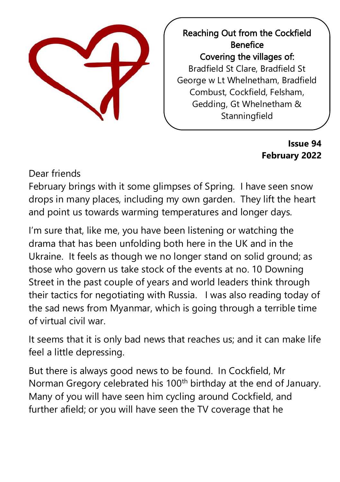

Reaching Out from the Cockfield Benefice Covering the villages of: Bradfield St Clare, Bradfield St George w Lt Whelnetham, Bradfield Combust, Cockfield, Felsham, Gedding, Gt Whelnetham & **Stanningfield** 

> **Issue 94 February 2022**

Dear friends

February brings with it some glimpses of Spring. I have seen snow drops in many places, including my own garden. They lift the heart and point us towards warming temperatures and longer days.

I'm sure that, like me, you have been listening or watching the drama that has been unfolding both here in the UK and in the Ukraine. It feels as though we no longer stand on solid ground; as those who govern us take stock of the events at no. 10 Downing Street in the past couple of years and world leaders think through their tactics for negotiating with Russia. I was also reading today of the sad news from Myanmar, which is going through a terrible time of virtual civil war.

It seems that it is only bad news that reaches us; and it can make life feel a little depressing.

But there is always good news to be found. In Cockfield, Mr Norman Gregory celebrated his 100<sup>th</sup> birthday at the end of January. Many of you will have seen him cycling around Cockfield, and further afield; or you will have seen the TV coverage that he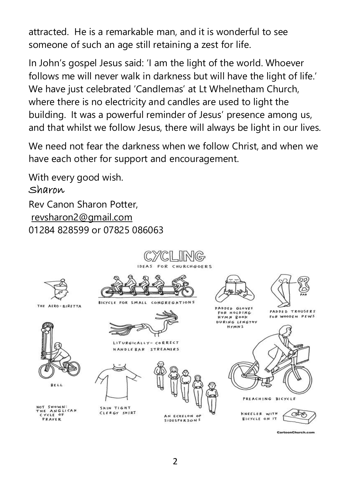attracted. He is a remarkable man, and it is wonderful to see someone of such an age still retaining a zest for life.

In John's gospel Jesus said: 'I am the light of the world. Whoever follows me will never walk in darkness but will have the light of life.' We have just celebrated 'Candlemas' at Lt Whelnetham Church, where there is no electricity and candles are used to light the building. It was a powerful reminder of Jesus' presence among us, and that whilst we follow Jesus, there will always be light in our lives.

We need not fear the darkness when we follow Christ, and when we have each other for support and encouragement.

With every good wish.

#### Sharon

Rev Canon Sharon Potter, [revsharon2@gmail.com](mailto:revsharon2@gmail.com) 01284 828599 or 07825 086063



CartoonChurch.com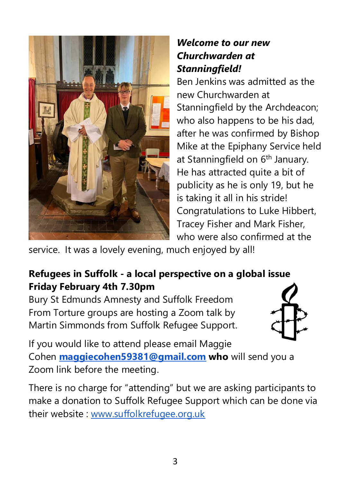

### *Welcome to our new Churchwarden at Stanningfield!*

Ben Jenkins was admitted as the new Churchwarden at Stanningfield by the Archdeacon; who also happens to be his dad, after he was confirmed by Bishop Mike at the Epiphany Service held at Stanningfield on 6<sup>th</sup> January. He has attracted quite a bit of publicity as he is only 19, but he is taking it all in his stride! Congratulations to Luke Hibbert, Tracey Fisher and Mark Fisher, who were also confirmed at the

service. It was a lovely evening, much enjoyed by all!

## **Refugees in Suffolk - a local perspective on a global issue Friday February 4th 7.30pm**

Bury St Edmunds Amnesty and Suffolk Freedom From Torture groups are hosting a Zoom talk by Martin Simmonds from Suffolk Refugee Support.



If you would like to attend please email Maggie Cohen **[maggiecohen59381@gmail.com](mailto:maggiecohen59381@gmail.com) who** will send you a Zoom link before the meeting.

There is no charge for "attending" but we are asking participants to make a donation to Suffolk Refugee Support which can be done via their website : [www.suffolkrefugee.org.uk](https://www.suffolkrefugee.org.uk/)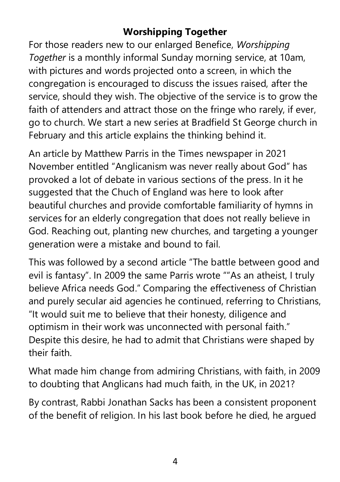# **Worshipping Together**

For those readers new to our enlarged Benefice, *Worshipping Together* is a monthly informal Sunday morning service, at 10am, with pictures and words projected onto a screen, in which the congregation is encouraged to discuss the issues raised, after the service, should they wish. The objective of the service is to grow the faith of attenders and attract those on the fringe who rarely, if ever, go to church. We start a new series at Bradfield St George church in February and this article explains the thinking behind it.

An article by Matthew Parris in the Times newspaper in 2021 November entitled "Anglicanism was never really about God" has provoked a lot of debate in various sections of the press. In it he suggested that the Chuch of England was here to look after beautiful churches and provide comfortable familiarity of hymns in services for an elderly congregation that does not really believe in God. Reaching out, planting new churches, and targeting a younger generation were a mistake and bound to fail.

This was followed by a second article "The battle between good and evil is fantasy". In 2009 the same Parris wrote ""As an atheist, I truly believe Africa needs God." Comparing the effectiveness of Christian and purely secular aid agencies he continued, referring to Christians, "It would suit me to believe that their honesty, diligence and optimism in their work was unconnected with personal faith." Despite this desire, he had to admit that Christians were shaped by their faith.

What made him change from admiring Christians, with faith, in 2009 to doubting that Anglicans had much faith, in the UK, in 2021?

By contrast, Rabbi Jonathan Sacks has been a consistent proponent of the benefit of religion. In his last book before he died, he argued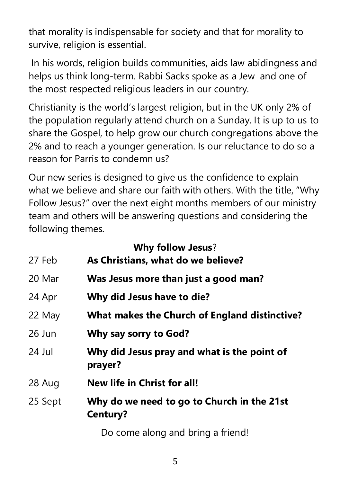that morality is indispensable for society and that for morality to survive, religion is essential.

In his words, religion builds communities, aids law abidingness and helps us think long-term. Rabbi Sacks spoke as a Jew and one of the most respected religious leaders in our country.

Christianity is the world's largest religion, but in the UK only 2% of the population regularly attend church on a Sunday. It is up to us to share the Gospel, to help grow our church congregations above the 2% and to reach a younger generation. Is our reluctance to do so a reason for Parris to condemn us?

Our new series is designed to give us the confidence to explain what we believe and share our faith with others. With the title, "Why Follow Jesus?" over the next eight months members of our ministry team and others will be answering questions and considering the following themes.

|          | <b>Why follow Jesus?</b>                               |
|----------|--------------------------------------------------------|
| 27 Feb   | As Christians, what do we believe?                     |
| 20 Mar   | Was Jesus more than just a good man?                   |
| 24 Apr   | Why did Jesus have to die?                             |
| 22 May   | What makes the Church of England distinctive?          |
| $26$ Jun | Why say sorry to God?                                  |
| $24$ Jul | Why did Jesus pray and what is the point of<br>prayer? |
| 28 Aug   | New life in Christ for all!                            |
| 25 Sept  | Why do we need to go to Church in the 21st<br>Century? |
|          | Do come along and bring a friend!                      |

5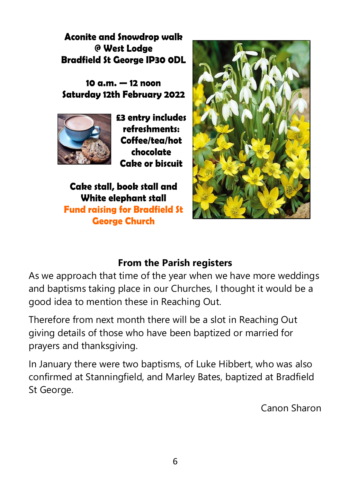**Aconite and Snowdrop walk** @ West Lodae **Bradfield St George IP30 ODL** 

10  $a.m. - 12$  noon Saturday 12th February 2022



£3 entry includes refreshments: Coffee/tea/hot chocolate Cabe or biscuit

Cake stall, book stall and White elephant stall **Fund raising for Bradfield St George Church** 



### **From the Parish registers**

As we approach that time of the year when we have more weddings and baptisms taking place in our Churches, I thought it would be a good idea to mention these in Reaching Out.

Therefore from next month there will be a slot in Reaching Out giving details of those who have been baptized or married for prayers and thanksgiving.

In January there were two baptisms, of Luke Hibbert, who was also confirmed at Stanningfield, and Marley Bates, baptized at Bradfield St George.

Canon Sharon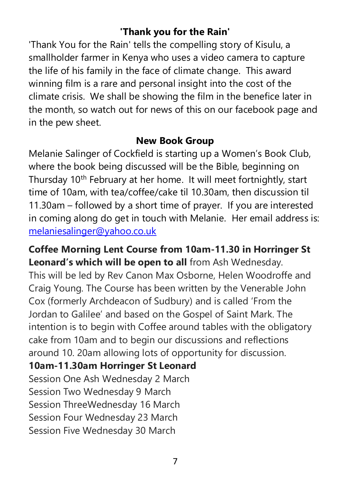### **'Thank you for the Rain'**

'Thank You for the Rain' tells the compelling story of Kisulu, a smallholder farmer in Kenya who uses a video camera to capture the life of his family in the face of climate change. This award winning film is a rare and personal insight into the cost of the climate crisis. We shall be showing the film in the benefice later in the month, so watch out for news of this on our facebook page and in the pew sheet.

#### **New Book Group**

Melanie Salinger of Cockfield is starting up a Women's Book Club, where the book being discussed will be the Bible, beginning on Thursday 10th February at her home. It will meet fortnightly, start time of 10am, with tea/coffee/cake til 10.30am, then discussion til 11.30am – followed by a short time of prayer. If you are interested in coming along do get in touch with Melanie. Her email address is: [melaniesalinger@yahoo.co.uk](mailto:melaniesalinger@yahoo.co.uk)

**Coffee Morning Lent Course from 10am-11.30 in Horringer St Leonard's which will be open to all** from Ash Wednesday. This will be led by Rev Canon Max Osborne, Helen Woodroffe and Craig Young. The Course has been written by the Venerable John Cox (formerly Archdeacon of Sudbury) and is called 'From the Jordan to Galilee' and based on the Gospel of Saint Mark. The intention is to begin with Coffee around tables with the obligatory cake from 10am and to begin our discussions and reflections around 10. 20am allowing lots of opportunity for discussion.

### **10am-11.30am Horringer St Leonard**

Session One Ash Wednesday 2 March Session Two Wednesday 9 March Session ThreeWednesday 16 March Session Four Wednesday 23 March Session Five Wednesday 30 March